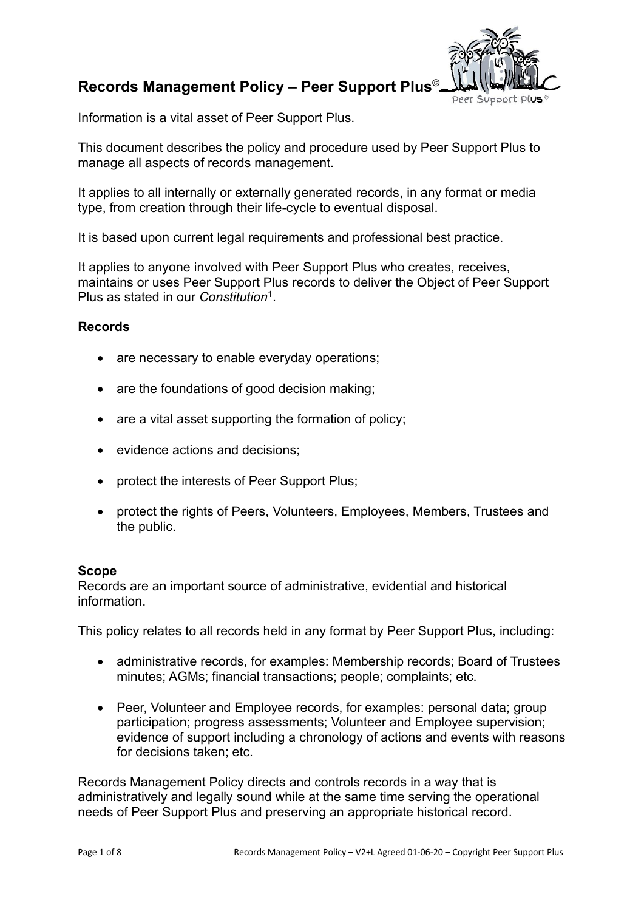# **Records Management Policy – Peer Support Plus©**



Information is a vital asset of Peer Support Plus.

This document describes the policy and procedure used by Peer Support Plus to manage all aspects of records management.

It applies to all internally or externally generated records, in any format or media type, from creation through their life-cycle to eventual disposal.

It is based upon current legal requirements and professional best practice.

It applies to anyone involved with Peer Support Plus who creates, receives, maintains or uses Peer Support Plus records to deliver the Object of Peer Support Plus as stated in our *Constitution*<sup>1</sup> .

### **Records**

- are necessary to enable everyday operations;
- are the foundations of good decision making:
- are a vital asset supporting the formation of policy;
- evidence actions and decisions;
- protect the interests of Peer Support Plus;
- protect the rights of Peers, Volunteers, Employees, Members, Trustees and the public.

#### **Scope**

Records are an important source of administrative, evidential and historical information.

This policy relates to all records held in any format by Peer Support Plus, including:

- administrative records, for examples: Membership records; Board of Trustees minutes; AGMs; financial transactions; people; complaints; etc.
- Peer, Volunteer and Employee records, for examples: personal data; group participation; progress assessments; Volunteer and Employee supervision; evidence of support including a chronology of actions and events with reasons for decisions taken; etc.

Records Management Policy directs and controls records in a way that is administratively and legally sound while at the same time serving the operational needs of Peer Support Plus and preserving an appropriate historical record.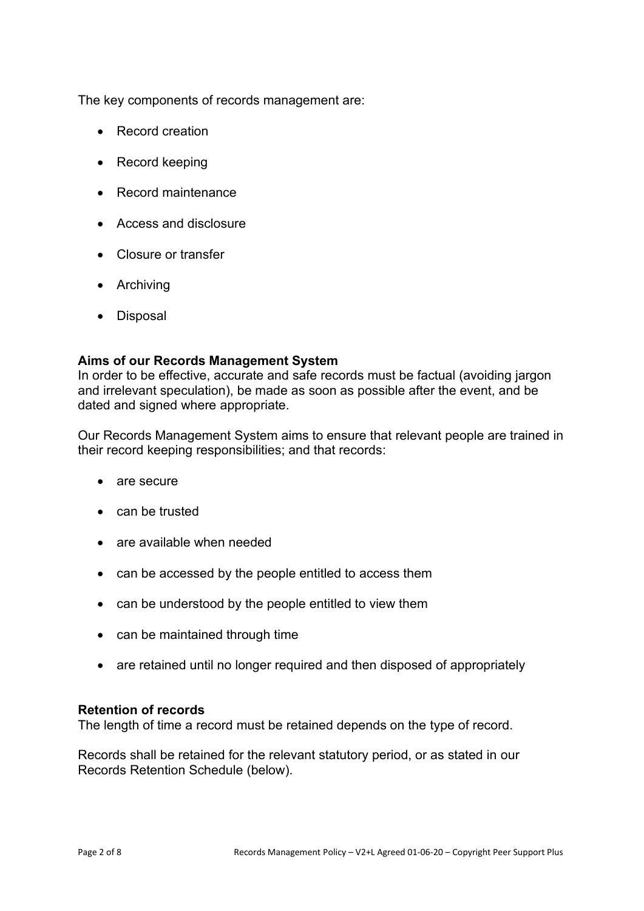The key components of records management are:

- Record creation
- Record keeping
- Record maintenance
- Access and disclosure
- Closure or transfer
- Archiving
- Disposal

#### **Aims of our Records Management System**

In order to be effective, accurate and safe records must be factual (avoiding jargon and irrelevant speculation), be made as soon as possible after the event, and be dated and signed where appropriate.

Our Records Management System aims to ensure that relevant people are trained in their record keeping responsibilities; and that records:

- are secure
- can be trusted
- are available when needed
- can be accessed by the people entitled to access them
- can be understood by the people entitled to view them
- can be maintained through time
- are retained until no longer required and then disposed of appropriately

#### **Retention of records**

The length of time a record must be retained depends on the type of record.

Records shall be retained for the relevant statutory period, or as stated in our Records Retention Schedule (below).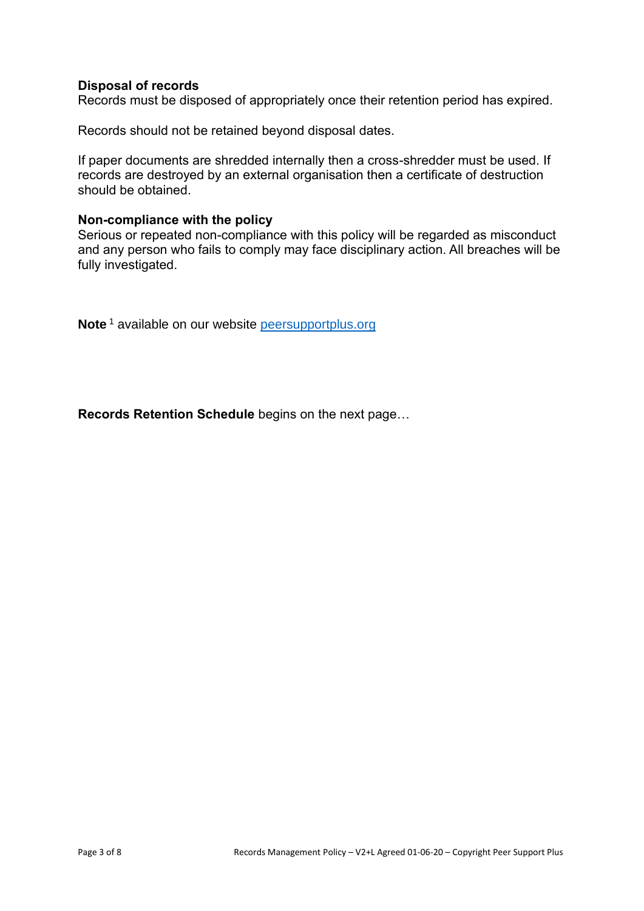## **Disposal of records**

Records must be disposed of appropriately once their retention period has expired.

Records should not be retained beyond disposal dates.

If paper documents are shredded internally then a cross-shredder must be used. If records are destroyed by an external organisation then a certificate of destruction should be obtained.

#### **Non-compliance with the policy**

Serious or repeated non-compliance with this policy will be regarded as misconduct and any person who fails to comply may face disciplinary action. All breaches will be fully investigated.

**Note**<sup>1</sup> available on our website [peersupportplus.org](http://www.peersupportplus.org/)

**Records Retention Schedule** begins on the next page…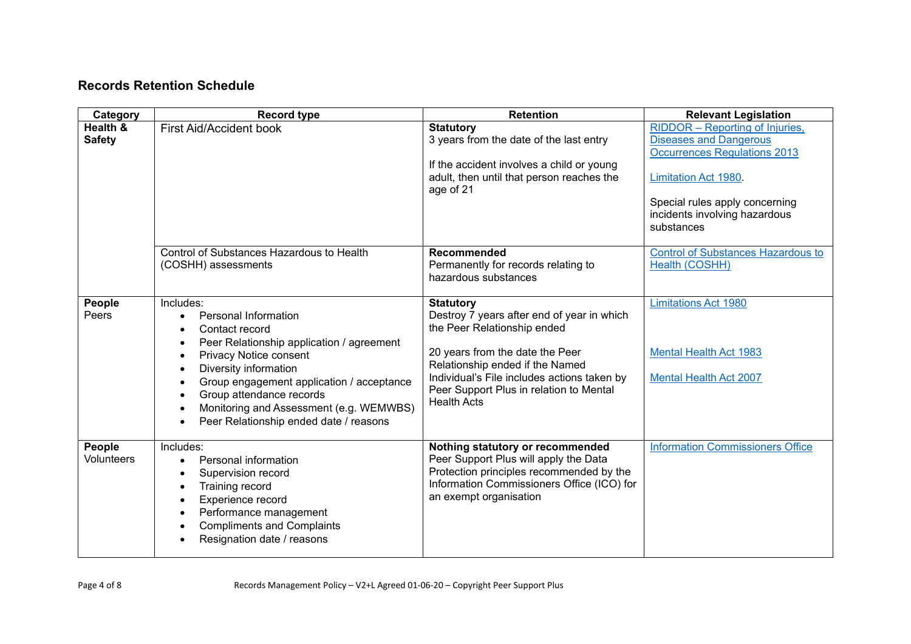# **Records Retention Schedule**

| Category                  | <b>Record type</b>                                                                                                                                                                                                                                                                                                                                                                                                                    | <b>Retention</b>                                                                                                                                                                                                                                                                    | <b>Relevant Legislation</b>                                                                                                                                                                                            |
|---------------------------|---------------------------------------------------------------------------------------------------------------------------------------------------------------------------------------------------------------------------------------------------------------------------------------------------------------------------------------------------------------------------------------------------------------------------------------|-------------------------------------------------------------------------------------------------------------------------------------------------------------------------------------------------------------------------------------------------------------------------------------|------------------------------------------------------------------------------------------------------------------------------------------------------------------------------------------------------------------------|
| Health &<br><b>Safety</b> | <b>First Aid/Accident book</b>                                                                                                                                                                                                                                                                                                                                                                                                        | <b>Statutory</b><br>3 years from the date of the last entry<br>If the accident involves a child or young<br>adult, then until that person reaches the<br>age of 21                                                                                                                  | RIDDOR - Reporting of Injuries,<br><b>Diseases and Dangerous</b><br><b>Occurrences Regulations 2013</b><br><b>Limitation Act 1980</b><br>Special rules apply concerning<br>incidents involving hazardous<br>substances |
|                           | Control of Substances Hazardous to Health<br>(COSHH) assessments                                                                                                                                                                                                                                                                                                                                                                      | <b>Recommended</b><br>Permanently for records relating to<br>hazardous substances                                                                                                                                                                                                   | <b>Control of Substances Hazardous to</b><br>Health (COSHH)                                                                                                                                                            |
| People<br>Peers           | Includes:<br><b>Personal Information</b><br>$\bullet$<br>Contact record<br>$\bullet$<br>Peer Relationship application / agreement<br>$\bullet$<br>Privacy Notice consent<br>$\bullet$<br>Diversity information<br>$\bullet$<br>Group engagement application / acceptance<br>$\bullet$<br>Group attendance records<br>$\bullet$<br>Monitoring and Assessment (e.g. WEMWBS)<br>$\bullet$<br>Peer Relationship ended date / reasons<br>٠ | <b>Statutory</b><br>Destroy 7 years after end of year in which<br>the Peer Relationship ended<br>20 years from the date the Peer<br>Relationship ended if the Named<br>Individual's File includes actions taken by<br>Peer Support Plus in relation to Mental<br><b>Health Acts</b> | <b>Limitations Act 1980</b><br><b>Mental Health Act 1983</b><br><b>Mental Health Act 2007</b>                                                                                                                          |
| People<br>Volunteers      | Includes:<br>Personal information<br>$\bullet$<br>Supervision record<br>$\bullet$<br>Training record<br>$\bullet$<br>Experience record<br>$\bullet$<br>Performance management<br>$\bullet$<br><b>Compliments and Complaints</b><br>$\bullet$<br>Resignation date / reasons                                                                                                                                                            | Nothing statutory or recommended<br>Peer Support Plus will apply the Data<br>Protection principles recommended by the<br>Information Commissioners Office (ICO) for<br>an exempt organisation                                                                                       | <b>Information Commissioners Office</b>                                                                                                                                                                                |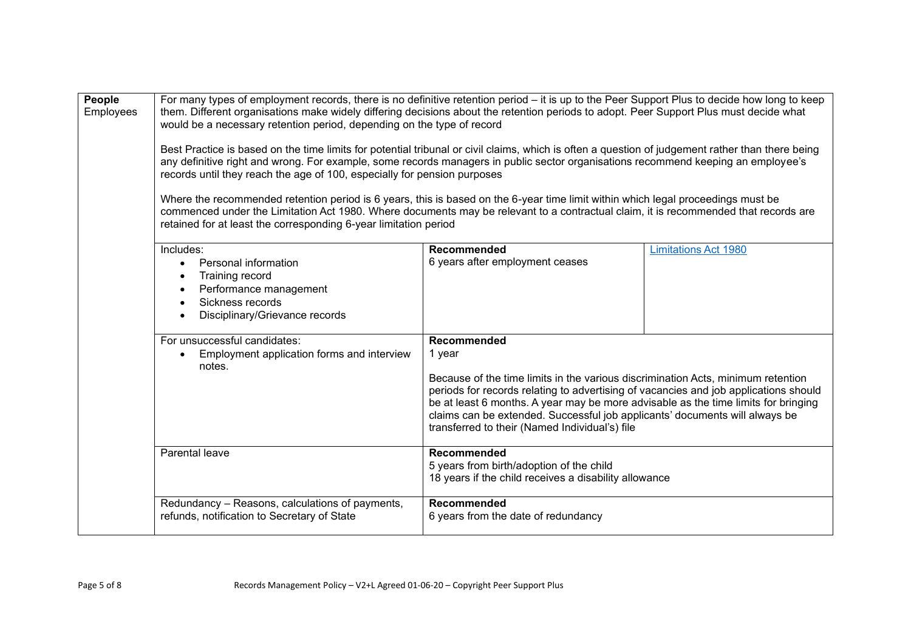| People<br>Employees | For many types of employment records, there is no definitive retention period – it is up to the Peer Support Plus to decide how long to keep<br>them. Different organisations make widely differing decisions about the retention periods to adopt. Peer Support Plus must decide what<br>would be a necessary retention period, depending on the type of record<br>Best Practice is based on the time limits for potential tribunal or civil claims, which is often a question of judgement rather than there being<br>any definitive right and wrong. For example, some records managers in public sector organisations recommend keeping an employee's<br>records until they reach the age of 100, especially for pension purposes<br>Where the recommended retention period is 6 years, this is based on the 6-year time limit within which legal proceedings must be<br>commenced under the Limitation Act 1980. Where documents may be relevant to a contractual claim, it is recommended that records are<br>retained for at least the corresponding 6-year limitation period |                                                                                                                                                                                                                                                                                                                                                                                                                          |                             |
|---------------------|--------------------------------------------------------------------------------------------------------------------------------------------------------------------------------------------------------------------------------------------------------------------------------------------------------------------------------------------------------------------------------------------------------------------------------------------------------------------------------------------------------------------------------------------------------------------------------------------------------------------------------------------------------------------------------------------------------------------------------------------------------------------------------------------------------------------------------------------------------------------------------------------------------------------------------------------------------------------------------------------------------------------------------------------------------------------------------------|--------------------------------------------------------------------------------------------------------------------------------------------------------------------------------------------------------------------------------------------------------------------------------------------------------------------------------------------------------------------------------------------------------------------------|-----------------------------|
|                     | Includes:<br>Personal information<br>$\bullet$<br>Training record<br>Performance management<br>Sickness records<br>$\bullet$<br>Disciplinary/Grievance records                                                                                                                                                                                                                                                                                                                                                                                                                                                                                                                                                                                                                                                                                                                                                                                                                                                                                                                       | <b>Recommended</b><br>6 years after employment ceases                                                                                                                                                                                                                                                                                                                                                                    | <b>Limitations Act 1980</b> |
|                     | For unsuccessful candidates:<br>Employment application forms and interview<br>$\bullet$<br>notes.                                                                                                                                                                                                                                                                                                                                                                                                                                                                                                                                                                                                                                                                                                                                                                                                                                                                                                                                                                                    | Recommended<br>1 year<br>Because of the time limits in the various discrimination Acts, minimum retention<br>periods for records relating to advertising of vacancies and job applications should<br>be at least 6 months. A year may be more advisable as the time limits for bringing<br>claims can be extended. Successful job applicants' documents will always be<br>transferred to their (Named Individual's) file |                             |
|                     | Parental leave                                                                                                                                                                                                                                                                                                                                                                                                                                                                                                                                                                                                                                                                                                                                                                                                                                                                                                                                                                                                                                                                       | Recommended<br>5 years from birth/adoption of the child<br>18 years if the child receives a disability allowance                                                                                                                                                                                                                                                                                                         |                             |
|                     | Redundancy - Reasons, calculations of payments,<br>refunds, notification to Secretary of State                                                                                                                                                                                                                                                                                                                                                                                                                                                                                                                                                                                                                                                                                                                                                                                                                                                                                                                                                                                       | <b>Recommended</b><br>6 years from the date of redundancy                                                                                                                                                                                                                                                                                                                                                                |                             |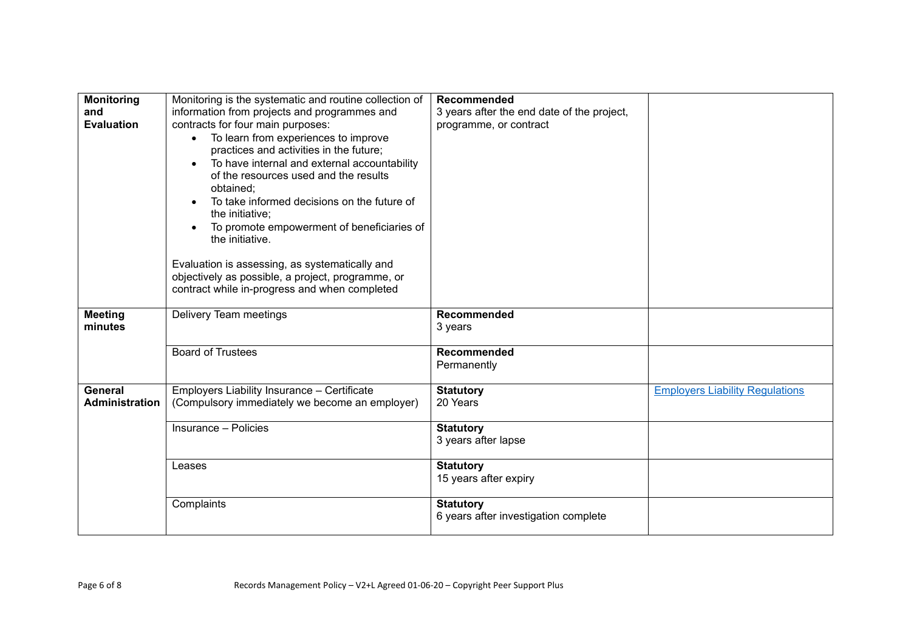| <b>Monitoring</b><br>and<br><b>Evaluation</b> | Monitoring is the systematic and routine collection of<br>information from projects and programmes and<br>contracts for four main purposes:<br>To learn from experiences to improve<br>practices and activities in the future;<br>To have internal and external accountability<br>$\bullet$<br>of the resources used and the results<br>obtained;<br>To take informed decisions on the future of<br>the initiative;<br>To promote empowerment of beneficiaries of<br>the initiative.<br>Evaluation is assessing, as systematically and<br>objectively as possible, a project, programme, or<br>contract while in-progress and when completed | <b>Recommended</b><br>3 years after the end date of the project,<br>programme, or contract |                                        |
|-----------------------------------------------|----------------------------------------------------------------------------------------------------------------------------------------------------------------------------------------------------------------------------------------------------------------------------------------------------------------------------------------------------------------------------------------------------------------------------------------------------------------------------------------------------------------------------------------------------------------------------------------------------------------------------------------------|--------------------------------------------------------------------------------------------|----------------------------------------|
| <b>Meeting</b><br>minutes                     | Delivery Team meetings                                                                                                                                                                                                                                                                                                                                                                                                                                                                                                                                                                                                                       | Recommended<br>3 years                                                                     |                                        |
|                                               | <b>Board of Trustees</b>                                                                                                                                                                                                                                                                                                                                                                                                                                                                                                                                                                                                                     | <b>Recommended</b><br>Permanently                                                          |                                        |
| General<br><b>Administration</b>              | Employers Liability Insurance - Certificate<br>(Compulsory immediately we become an employer)                                                                                                                                                                                                                                                                                                                                                                                                                                                                                                                                                | <b>Statutory</b><br>20 Years                                                               | <b>Employers Liability Regulations</b> |
|                                               | Insurance - Policies                                                                                                                                                                                                                                                                                                                                                                                                                                                                                                                                                                                                                         | <b>Statutory</b><br>3 years after lapse                                                    |                                        |
|                                               | Leases                                                                                                                                                                                                                                                                                                                                                                                                                                                                                                                                                                                                                                       | <b>Statutory</b><br>15 years after expiry                                                  |                                        |
|                                               | Complaints                                                                                                                                                                                                                                                                                                                                                                                                                                                                                                                                                                                                                                   | <b>Statutory</b><br>6 years after investigation complete                                   |                                        |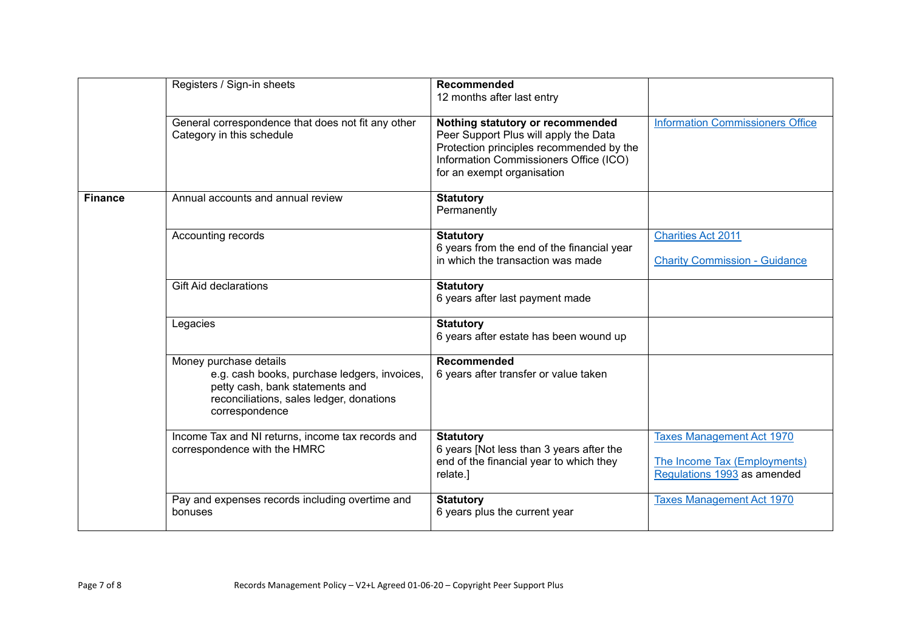|                | Registers / Sign-in sheets                                                                                                                                              | <b>Recommended</b><br>12 months after last entry                                                                                                                                              |                                                                                                 |
|----------------|-------------------------------------------------------------------------------------------------------------------------------------------------------------------------|-----------------------------------------------------------------------------------------------------------------------------------------------------------------------------------------------|-------------------------------------------------------------------------------------------------|
|                | General correspondence that does not fit any other<br>Category in this schedule                                                                                         | Nothing statutory or recommended<br>Peer Support Plus will apply the Data<br>Protection principles recommended by the<br>Information Commissioners Office (ICO)<br>for an exempt organisation | <b>Information Commissioners Office</b>                                                         |
| <b>Finance</b> | Annual accounts and annual review                                                                                                                                       | <b>Statutory</b><br>Permanently                                                                                                                                                               |                                                                                                 |
|                | Accounting records                                                                                                                                                      | <b>Statutory</b><br>6 years from the end of the financial year<br>in which the transaction was made                                                                                           | <b>Charities Act 2011</b><br><b>Charity Commission - Guidance</b>                               |
|                | <b>Gift Aid declarations</b>                                                                                                                                            | <b>Statutory</b><br>6 years after last payment made                                                                                                                                           |                                                                                                 |
|                | Legacies                                                                                                                                                                | <b>Statutory</b><br>6 years after estate has been wound up                                                                                                                                    |                                                                                                 |
|                | Money purchase details<br>e.g. cash books, purchase ledgers, invoices,<br>petty cash, bank statements and<br>reconciliations, sales ledger, donations<br>correspondence | Recommended<br>6 years after transfer or value taken                                                                                                                                          |                                                                                                 |
|                | Income Tax and NI returns, income tax records and<br>correspondence with the HMRC                                                                                       | <b>Statutory</b><br>6 years [Not less than 3 years after the<br>end of the financial year to which they<br>relate.]                                                                           | <b>Taxes Management Act 1970</b><br>The Income Tax (Employments)<br>Regulations 1993 as amended |
|                | Pay and expenses records including overtime and<br>bonuses                                                                                                              | <b>Statutory</b><br>6 years plus the current year                                                                                                                                             | <b>Taxes Management Act 1970</b>                                                                |